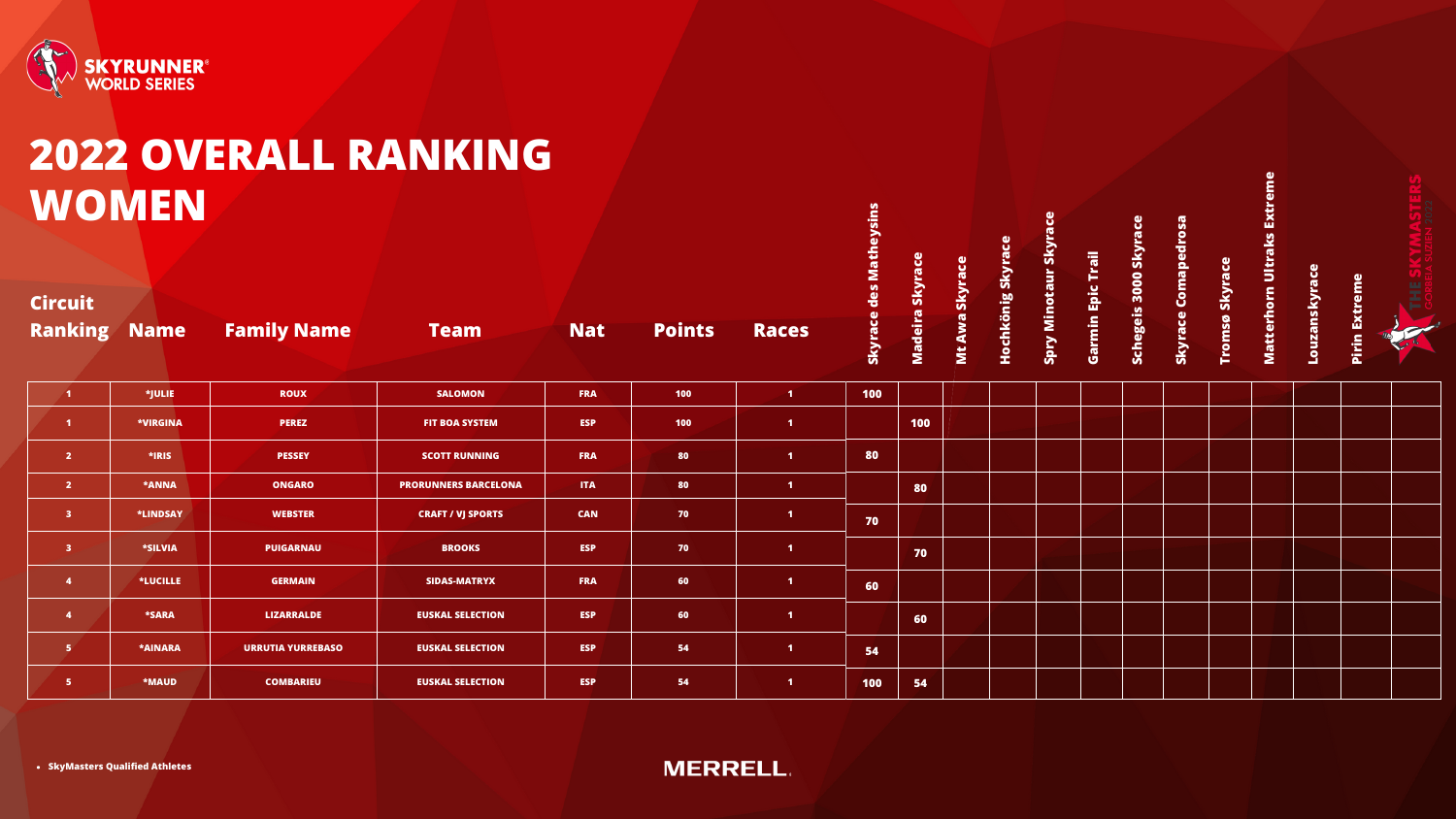

## **2022 OVERALL RANKING WOMEN**

| <b>Ranking Name</b>     |                        | <b>Family Name</b>       | <b>Team</b>                 | <b>Nat</b> | <b>Points</b> | <b>Races</b>         | Skyrac | <b>Madei</b> |
|-------------------------|------------------------|--------------------------|-----------------------------|------------|---------------|----------------------|--------|--------------|
| $\mathbf{1}$            | *JULIE                 | <b>ROUX</b>              | <b>SALOMON</b>              | <b>FRA</b> | 100           | $\mathbf{1}$         | 100    |              |
| $\blacktriangleleft$    | *VIRGINA               | <b>PEREZ</b>             | <b>FIT BOA SYSTEM</b>       | <b>ESP</b> | 100           | $\mathbf{1}$         |        | 100          |
| $\overline{2}$          | *IRIS                  | <b>PESSEY</b>            | <b>SCOTT RUNNING</b>        | <b>FRA</b> | 80            | $\blacksquare$       | 80     |              |
| 2 <sup>7</sup>          | *ANNA<br><b>ONGARO</b> |                          | <b>PRORUNNERS BARCELONA</b> | <b>ITA</b> | 80            | $\blacksquare$       |        | 80           |
| $\mathbf{3}$            | *LINDSAY               | <b>WEBSTER</b>           | <b>CRAFT / VJ SPORTS</b>    | <b>CAN</b> | 70            | $\mathbf{1}$         | 70     |              |
| $\overline{\mathbf{3}}$ | <b>*SILVIA</b>         | <b>PUIGARNAU</b>         | <b>BROOKS</b>               | <b>ESP</b> | 70            | $\blacktriangleleft$ |        | 70           |
| $\overline{\mathbf{4}}$ | *LUCILLE               | <b>GERMAIN</b>           | <b>SIDAS-MATRYX</b>         | <b>FRA</b> | 60            | $\mathbf{1}$         | 60     |              |
| $\overline{\mathbf{4}}$ | <b>*SARA</b>           | <b>LIZARRALDE</b>        | <b>EUSKAL SELECTION</b>     | <b>ESP</b> | 60            | $\mathbf{1}$         |        | 60           |
| $\overline{5}$          | <b>*AINARA</b>         | <b>URRUTIA YURREBASO</b> | <b>EUSKAL SELECTION</b>     | <b>ESP</b> | 54            | $\blacktriangleleft$ | 54     |              |
| 5 <sub>5</sub>          | <b>*MAUD</b>           | <b>COMBARIEU</b>         | <b>EUSKAL SELECTION</b>     | <b>ESP</b> | 54            | $\blacktriangleleft$ | 100    | 54           |

| Madeira Skyrace | Mt Awa Skyrace | Hochkönig Skyrace | <b>Spry Minotaur Skyrace</b> | <b>Garmin Epic Trail</b> | Schegeis 3000 Skyrace | <b>Skyrace Comapedrosa</b> | Tromsø Skyrace | Matterhorn Ultraks Extreme | Louzanskyrace | Pirin Extreme | <b>STERS</b><br>GORBEIA SUZIEN 2022<br><b>THE SKY</b> |  |  |  |  |  |  |
|-----------------|----------------|-------------------|------------------------------|--------------------------|-----------------------|----------------------------|----------------|----------------------------|---------------|---------------|-------------------------------------------------------|--|--|--|--|--|--|
|                 |                |                   |                              |                          |                       |                            |                |                            |               |               |                                                       |  |  |  |  |  |  |
| 100             |                |                   |                              |                          |                       |                            |                |                            |               |               |                                                       |  |  |  |  |  |  |
|                 |                |                   |                              |                          |                       |                            |                |                            |               |               |                                                       |  |  |  |  |  |  |
| 80              |                |                   |                              |                          |                       |                            |                |                            |               |               |                                                       |  |  |  |  |  |  |
|                 |                |                   |                              |                          |                       |                            |                |                            |               |               |                                                       |  |  |  |  |  |  |
| 70              |                |                   |                              |                          |                       |                            |                |                            |               |               |                                                       |  |  |  |  |  |  |
|                 |                |                   |                              |                          |                       |                            |                |                            |               |               |                                                       |  |  |  |  |  |  |
|                 |                |                   |                              |                          |                       |                            |                |                            |               |               |                                                       |  |  |  |  |  |  |
| 60              |                |                   |                              |                          |                       |                            |                |                            |               |               |                                                       |  |  |  |  |  |  |
|                 |                |                   |                              |                          |                       |                            |                |                            |               |               |                                                       |  |  |  |  |  |  |
| 54              |                |                   |                              |                          |                       |                            |                |                            |               |               |                                                       |  |  |  |  |  |  |

#### **Circuit**

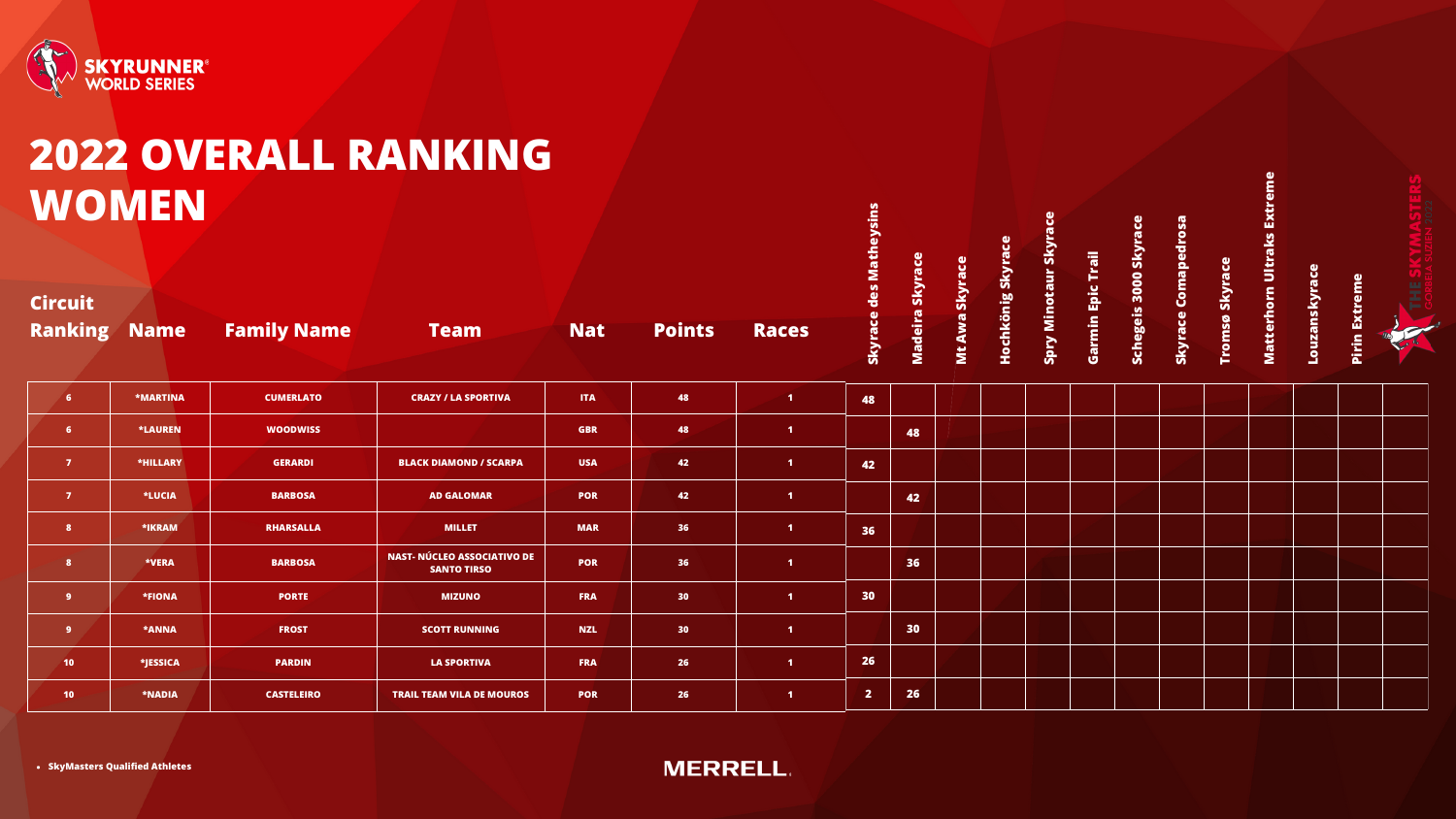

# **WOMEN**

|                                  |                 |                    | 2022 OVERALL RANKING                                     |            |                 |                      |                         |                 |                    |                   |                       |                      |                    |                     |                       | eme                            |               |                         |   |
|----------------------------------|-----------------|--------------------|----------------------------------------------------------|------------|-----------------|----------------------|-------------------------|-----------------|--------------------|-------------------|-----------------------|----------------------|--------------------|---------------------|-----------------------|--------------------------------|---------------|-------------------------|---|
|                                  | WOMEN           |                    |                                                          |            |                 |                      |                         |                 |                    |                   |                       |                      | ace                |                     |                       |                                |               |                         |   |
| <b>Circuit</b><br><b>Ranking</b> | <b>Name</b>     | <b>Family Name</b> | <b>Team</b>                                              | <b>Nat</b> | <b>Points</b>   | Races                | Skyrace des Matheysins  | Madeira Skyrace | Ō.<br>Mt Awa Skyra | Hochkönig Skyrace | Spry Minotaur Skyrace | Trail<br>Garmin Epic | Schegeis 3000 Skyr | Skyrace Comapedrosa | Skyrace<br>øswo.<br>는 | <b>Matterhorn Ultraks Extr</b> | Louzanskyrace | <b>Extreme</b><br>Pirin | ž |
| 6 <sup>1</sup>                   | <b>*MARTINA</b> | <b>CUMERLATO</b>   | <b>CRAZY / LA SPORTIVA</b>                               | <b>ITA</b> | 48              | $\blacksquare$       | 48                      |                 |                    |                   |                       |                      |                    |                     |                       |                                |               |                         |   |
| 6 <sup>1</sup>                   | <b>*LAUREN</b>  | <b>WOODWISS</b>    |                                                          | <b>GBR</b> | 48              | $\blacktriangleleft$ |                         | 48              |                    |                   |                       |                      |                    |                     |                       |                                |               |                         |   |
| $\overline{7}$                   | *HILLARY        | <b>GERARDI</b>     | <b>BLACK DIAMOND / SCARPA</b>                            | <b>USA</b> | 42              | $\vert$ 1            | 42                      |                 |                    |                   |                       |                      |                    |                     |                       |                                |               |                         |   |
| $\overline{7}$                   | <b>*LUCIA</b>   | <b>BARBOSA</b>     | <b>AD GALOMAR</b>                                        | <b>POR</b> | 42              | $\vert$ 1            |                         | 42              |                    |                   |                       |                      |                    |                     |                       |                                |               |                         |   |
| 8 <sup>1</sup>                   | *IKRAM          | <b>RHARSALLA</b>   | <b>MILLET</b>                                            | <b>MAR</b> | 36              | $\blacktriangleleft$ | 36                      |                 |                    |                   |                       |                      |                    |                     |                       |                                |               |                         |   |
| 8 <sup>1</sup>                   | *VERA           | <b>BARBOSA</b>     | <b>NAST- NÚCLEO ASSOCIATIVO DE</b><br><b>SANTO TIRSO</b> | <b>POR</b> | 36              | $\blacktriangleleft$ |                         | 36              |                    |                   |                       |                      |                    |                     |                       |                                |               |                         |   |
| 9 <sup>°</sup>                   | *FIONA          | <b>PORTE</b>       | <b>MIZUNO</b>                                            | <b>FRA</b> | 30 <sub>2</sub> | $\vert$ 1            | 30                      |                 |                    |                   |                       |                      |                    |                     |                       |                                |               |                         |   |
| 9 <sup>°</sup>                   | *ANNA           | <b>FROST</b>       | <b>SCOTT RUNNING</b>                                     | <b>NZL</b> | 30 <sub>2</sub> | $\vert$ 1            |                         | 30              |                    |                   |                       |                      |                    |                     |                       |                                |               |                         |   |
| 10 <sub>1</sub>                  | *JESSICA        | <b>PARDIN</b>      | <b>LA SPORTIVA</b>                                       | <b>FRA</b> | 26              | $\vert 1 \vert$      | 26                      |                 |                    |                   |                       |                      |                    |                     |                       |                                |               |                         |   |
| 10 <sub>1</sub>                  | *NADIA          | <b>CASTELEIRO</b>  | <b>TRAIL TEAM VILA DE MOUROS</b>                         | <b>POR</b> | 26              | $\blacktriangleleft$ | $\overline{\mathbf{2}}$ | 26              |                    |                   |                       |                      |                    |                     |                       |                                |               |                         |   |

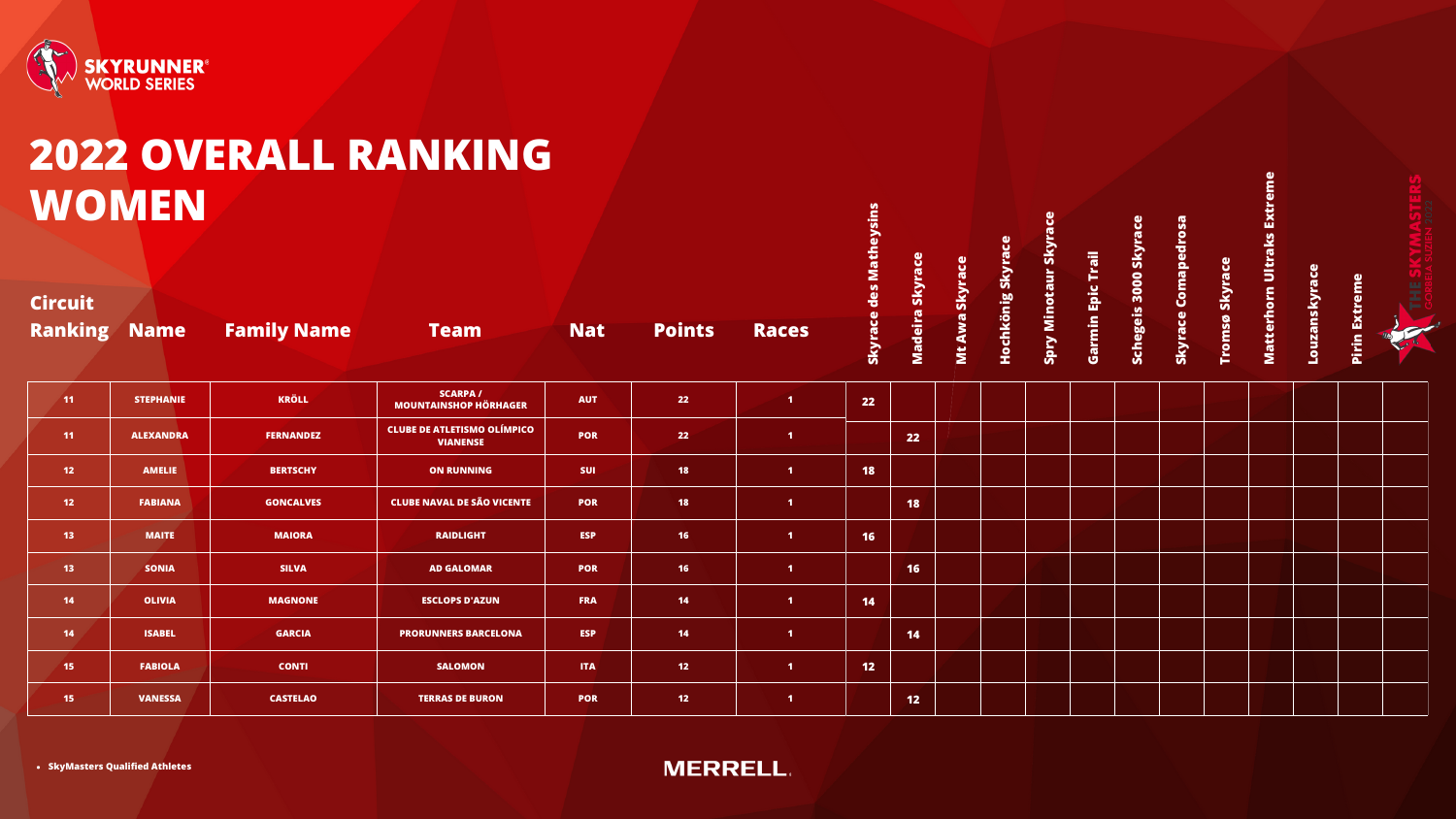

# **WOMEN**

|                                  |                  |                    | 2022 OVERALL RANKING                                  |            |               |                   |                 |                 |                |                   |                    |                    |                       |                     |                       |                            |               |               |  |
|----------------------------------|------------------|--------------------|-------------------------------------------------------|------------|---------------|-------------------|-----------------|-----------------|----------------|-------------------|--------------------|--------------------|-----------------------|---------------------|-----------------------|----------------------------|---------------|---------------|--|
| WOMEN                            |                  |                    |                                                       |            |               |                   | des Matheysins  |                 |                |                   | ū                  | Trail              |                       |                     |                       | Matterhorn Ultraks Extreme |               | eme           |  |
| <b>Circuit</b><br><b>Ranking</b> | <b>Name</b>      | <b>Family Name</b> | <b>Team</b>                                           | <b>Nat</b> | <b>Points</b> | <b>Races</b>      | Skyrace         | Madeira Skyrace | Mt Awa Skyrace | Hochkönig Skyrace | Spry Minotaur Skyr | <b>Garmin Epic</b> | Schegeis 3000 Skyrace | Skyrace Comapedrosa | <b>Tromsø Skyrace</b> |                            | Louzanskyrace | Extr<br>Pirin |  |
| 11                               | <b>STEPHANIE</b> | <b>KRÖLL</b>       | <b>SCARPA/</b><br><b>MOUNTAINSHOP HÖRHAGER</b>        | <b>AUT</b> | 22            | $\sqrt{1}$        | 22              |                 |                |                   |                    |                    |                       |                     |                       |                            |               |               |  |
| 11                               | <b>ALEXANDRA</b> | <b>FERNANDEZ</b>   | <b>CLUBE DE ATLETISMO OLÍMPICO</b><br><b>VIANENSE</b> | <b>POR</b> | 22            | $\blacksquare$    |                 | 22              |                |                   |                    |                    |                       |                     |                       |                            |               |               |  |
| 12 <sub>2</sub>                  | <b>AMELIE</b>    | <b>BERTSCHY</b>    | <b>ON RUNNING</b>                                     | <b>SUI</b> | <b>18</b>     | $\blacksquare$    | <b>18</b>       |                 |                |                   |                    |                    |                       |                     |                       |                            |               |               |  |
| 12 <sub>2</sub>                  | <b>FABIANA</b>   | <b>GONCALVES</b>   | <b>CLUBE NAVAL DE SÃO VICENTE</b>                     | <b>POR</b> | <b>18</b>     | $\blacksquare$    |                 | <b>18</b>       |                |                   |                    |                    |                       |                     |                       |                            |               |               |  |
| 13 <sup>°</sup>                  | <b>MAITE</b>     | <b>MAIORA</b>      | <b>RAIDLIGHT</b>                                      | <b>ESP</b> | <b>16</b>     | $\blacksquare$    | 16              |                 |                |                   |                    |                    |                       |                     |                       |                            |               |               |  |
| 13 <sup>7</sup>                  | <b>SONIA</b>     | <b>SILVA</b>       | <b>AD GALOMAR</b>                                     | <b>POR</b> | 16            | $\blacksquare$    |                 | 16              |                |                   |                    |                    |                       |                     |                       |                            |               |               |  |
| 14                               | <b>OLIVIA</b>    | <b>MAGNONE</b>     | <b>ESCLOPS D'AZUN</b>                                 | <b>FRA</b> | 14            | $\vert$ 1         | 14              |                 |                |                   |                    |                    |                       |                     |                       |                            |               |               |  |
| 14                               | <b>ISABEL</b>    | <b>GARCIA</b>      | <b>PRORUNNERS BARCELONA</b>                           | <b>ESP</b> | 14            | $\blacksquare$    |                 | 14              |                |                   |                    |                    |                       |                     |                       |                            |               |               |  |
| 15 <sub>1</sub>                  | <b>FABIOLA</b>   | <b>CONTI</b>       | <b>SALOMON</b>                                        | <b>ITA</b> | 12            | $\vert 1 \rangle$ | 12 <sub>2</sub> |                 |                |                   |                    |                    |                       |                     |                       |                            |               |               |  |
| 15 <sub>1</sub>                  | <b>VANESSA</b>   | <b>CASTELAO</b>    | <b>TERRAS DE BURON</b>                                | <b>POR</b> | 12            | $\blacksquare$    |                 | 12              |                |                   |                    |                    |                       |                     |                       |                            |               |               |  |